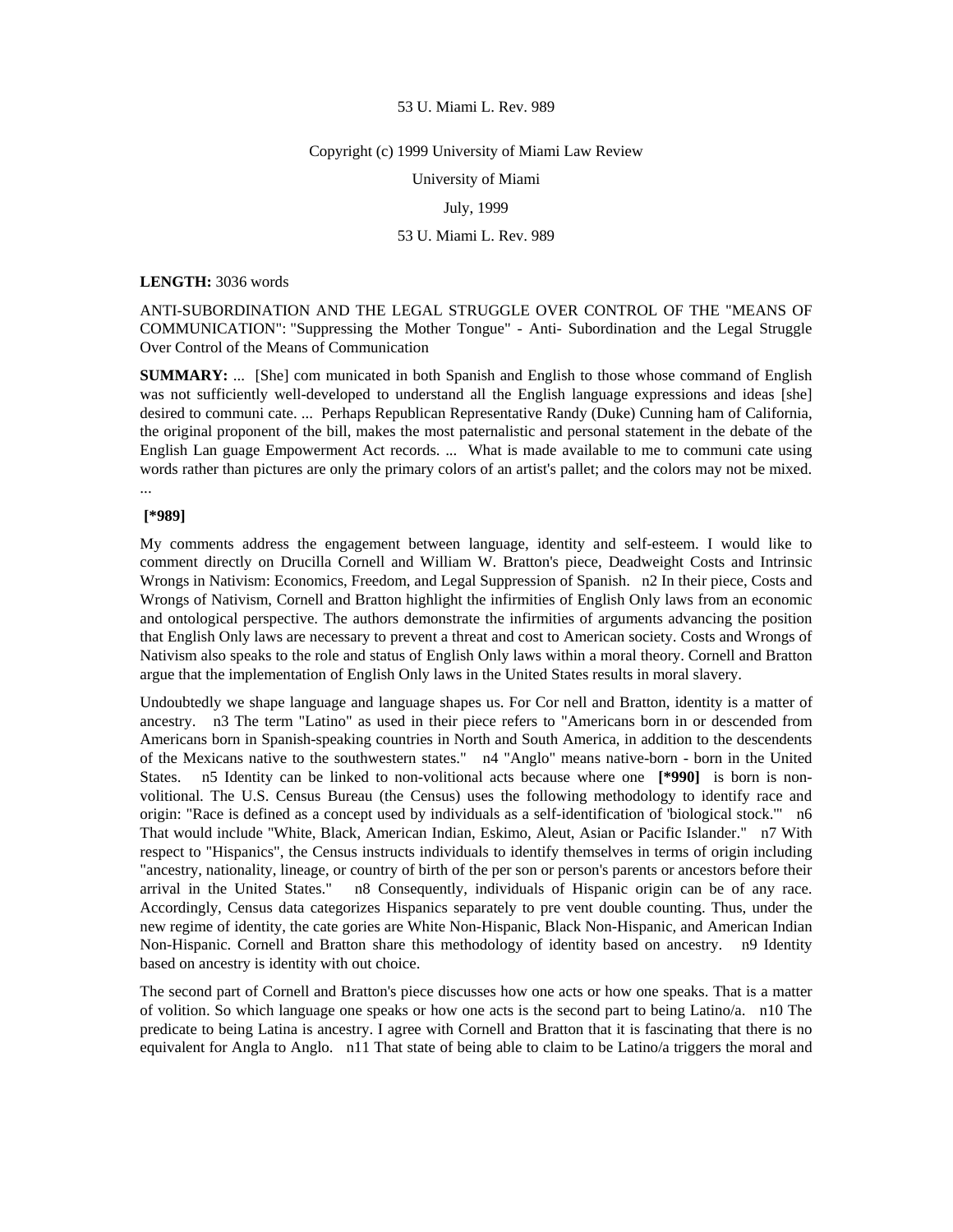#### Copyright (c) 1999 University of Miami Law Review

University of Miami

# July, 1999

# 53 U. Miami L. Rev. 989

#### **LENGTH:** 3036 words

ANTI-SUBORDINATION AND THE LEGAL STRUGGLE OVER CONTROL OF THE "MEANS OF COMMUNICATION": "Suppressing the Mother Tongue" - Anti- Subordination and the Legal Struggle Over Control of the Means of Communication

**SUMMARY:** ... [She] com municated in both Spanish and English to those whose command of English was not sufficiently well-developed to understand all the English language expressions and ideas [she] desired to communi cate. ... Perhaps Republican Representative Randy (Duke) Cunning ham of California, the original proponent of the bill, makes the most paternalistic and personal statement in the debate of the English Lan guage Empowerment Act records. ... What is made available to me to communi cate using words rather than pictures are only the primary colors of an artist's pallet; and the colors may not be mixed. ...

## **[\*989]**

My comments address the engagement between language, identity and self-esteem. I would like to comment directly on Drucilla Cornell and William W. Bratton's piece, Deadweight Costs and Intrinsic Wrongs in Nativism: Economics, Freedom, and Legal Suppression of Spanish. n2 In their piece, Costs and Wrongs of Nativism, Cornell and Bratton highlight the infirmities of English Only laws from an economic and ontological perspective. The authors demonstrate the infirmities of arguments advancing the position that English Only laws are necessary to prevent a threat and cost to American society. Costs and Wrongs of Nativism also speaks to the role and status of English Only laws within a moral theory. Cornell and Bratton argue that the implementation of English Only laws in the United States results in moral slavery.

Undoubtedly we shape language and language shapes us. For Cor nell and Bratton, identity is a matter of ancestry. n3 The term "Latino" as used in their piece refers to "Americans born in or descended from Americans born in Spanish-speaking countries in North and South America, in addition to the descendents of the Mexicans native to the southwestern states." n4 "Anglo" means native-born - born in the United States. n5 Identity can be linked to non-volitional acts because where one **[\*990]** is born is nonvolitional. The U.S. Census Bureau (the Census) uses the following methodology to identify race and origin: "Race is defined as a concept used by individuals as a self-identification of 'biological stock.'" n6 That would include "White, Black, American Indian, Eskimo, Aleut, Asian or Pacific Islander." n7 With respect to "Hispanics", the Census instructs individuals to identify themselves in terms of origin including "ancestry, nationality, lineage, or country of birth of the per son or person's parents or ancestors before their arrival in the United States." n8 Consequently, individuals of Hispanic origin can be of any race. Accordingly, Census data categorizes Hispanics separately to pre vent double counting. Thus, under the new regime of identity, the cate gories are White Non-Hispanic, Black Non-Hispanic, and American Indian Non-Hispanic. Cornell and Bratton share this methodology of identity based on ancestry. n9 Identity based on ancestry is identity with out choice.

The second part of Cornell and Bratton's piece discusses how one acts or how one speaks. That is a matter of volition. So which language one speaks or how one acts is the second part to being Latino/a. n10 The predicate to being Latina is ancestry. I agree with Cornell and Bratton that it is fascinating that there is no equivalent for Angla to Anglo. n11 That state of being able to claim to be Latino/a triggers the moral and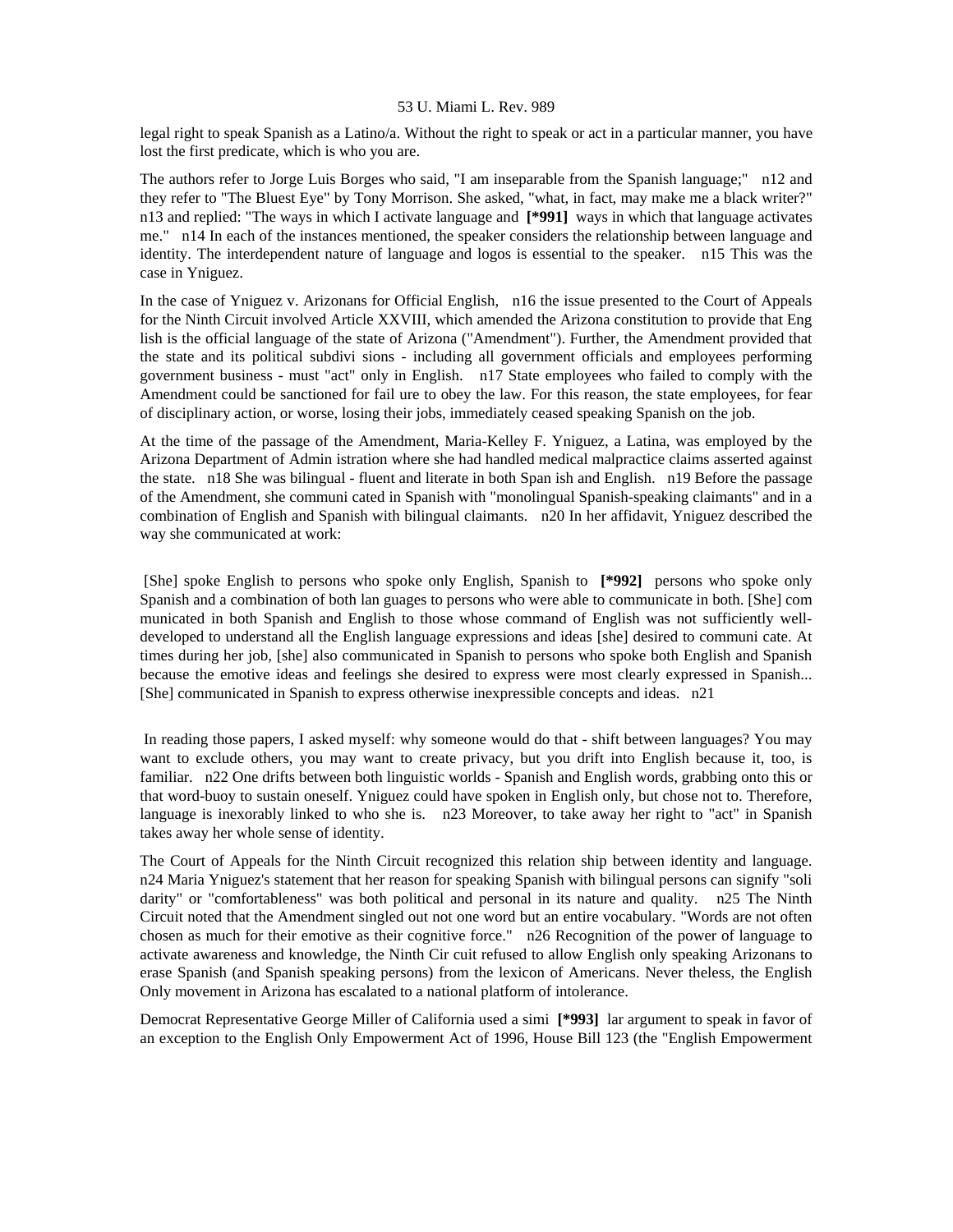legal right to speak Spanish as a Latino/a. Without the right to speak or act in a particular manner, you have lost the first predicate, which is who you are.

The authors refer to Jorge Luis Borges who said, "I am inseparable from the Spanish language;" n12 and they refer to "The Bluest Eye" by Tony Morrison. She asked, "what, in fact, may make me a black writer?" n13 and replied: "The ways in which I activate language and **[\*991]** ways in which that language activates me." n14 In each of the instances mentioned, the speaker considers the relationship between language and identity. The interdependent nature of language and logos is essential to the speaker. n15 This was the case in Yniguez.

In the case of Yniguez v. Arizonans for Official English, n16 the issue presented to the Court of Appeals for the Ninth Circuit involved Article XXVIII, which amended the Arizona constitution to provide that Eng lish is the official language of the state of Arizona ("Amendment"). Further, the Amendment provided that the state and its political subdivi sions - including all government officials and employees performing government business - must "act" only in English. n17 State employees who failed to comply with the Amendment could be sanctioned for fail ure to obey the law. For this reason, the state employees, for fear of disciplinary action, or worse, losing their jobs, immediately ceased speaking Spanish on the job.

At the time of the passage of the Amendment, Maria-Kelley F. Yniguez, a Latina, was employed by the Arizona Department of Admin istration where she had handled medical malpractice claims asserted against the state. n18 She was bilingual - fluent and literate in both Span ish and English. n19 Before the passage of the Amendment, she communi cated in Spanish with "monolingual Spanish-speaking claimants" and in a combination of English and Spanish with bilingual claimants. n20 In her affidavit, Yniguez described the way she communicated at work:

 [She] spoke English to persons who spoke only English, Spanish to **[\*992]** persons who spoke only Spanish and a combination of both lan guages to persons who were able to communicate in both. [She] com municated in both Spanish and English to those whose command of English was not sufficiently welldeveloped to understand all the English language expressions and ideas [she] desired to communi cate. At times during her job, [she] also communicated in Spanish to persons who spoke both English and Spanish because the emotive ideas and feelings she desired to express were most clearly expressed in Spanish... [She] communicated in Spanish to express otherwise inexpressible concepts and ideas. n21

 In reading those papers, I asked myself: why someone would do that - shift between languages? You may want to exclude others, you may want to create privacy, but you drift into English because it, too, is familiar. n22 One drifts between both linguistic worlds - Spanish and English words, grabbing onto this or that word-buoy to sustain oneself. Yniguez could have spoken in English only, but chose not to. Therefore, language is inexorably linked to who she is. n23 Moreover, to take away her right to "act" in Spanish takes away her whole sense of identity.

The Court of Appeals for the Ninth Circuit recognized this relation ship between identity and language. n24 Maria Yniguez's statement that her reason for speaking Spanish with bilingual persons can signify "soli darity" or "comfortableness" was both political and personal in its nature and quality. n25 The Ninth Circuit noted that the Amendment singled out not one word but an entire vocabulary. "Words are not often chosen as much for their emotive as their cognitive force." n26 Recognition of the power of language to activate awareness and knowledge, the Ninth Cir cuit refused to allow English only speaking Arizonans to erase Spanish (and Spanish speaking persons) from the lexicon of Americans. Never theless, the English Only movement in Arizona has escalated to a national platform of intolerance.

Democrat Representative George Miller of California used a simi **[\*993]** lar argument to speak in favor of an exception to the English Only Empowerment Act of 1996, House Bill 123 (the "English Empowerment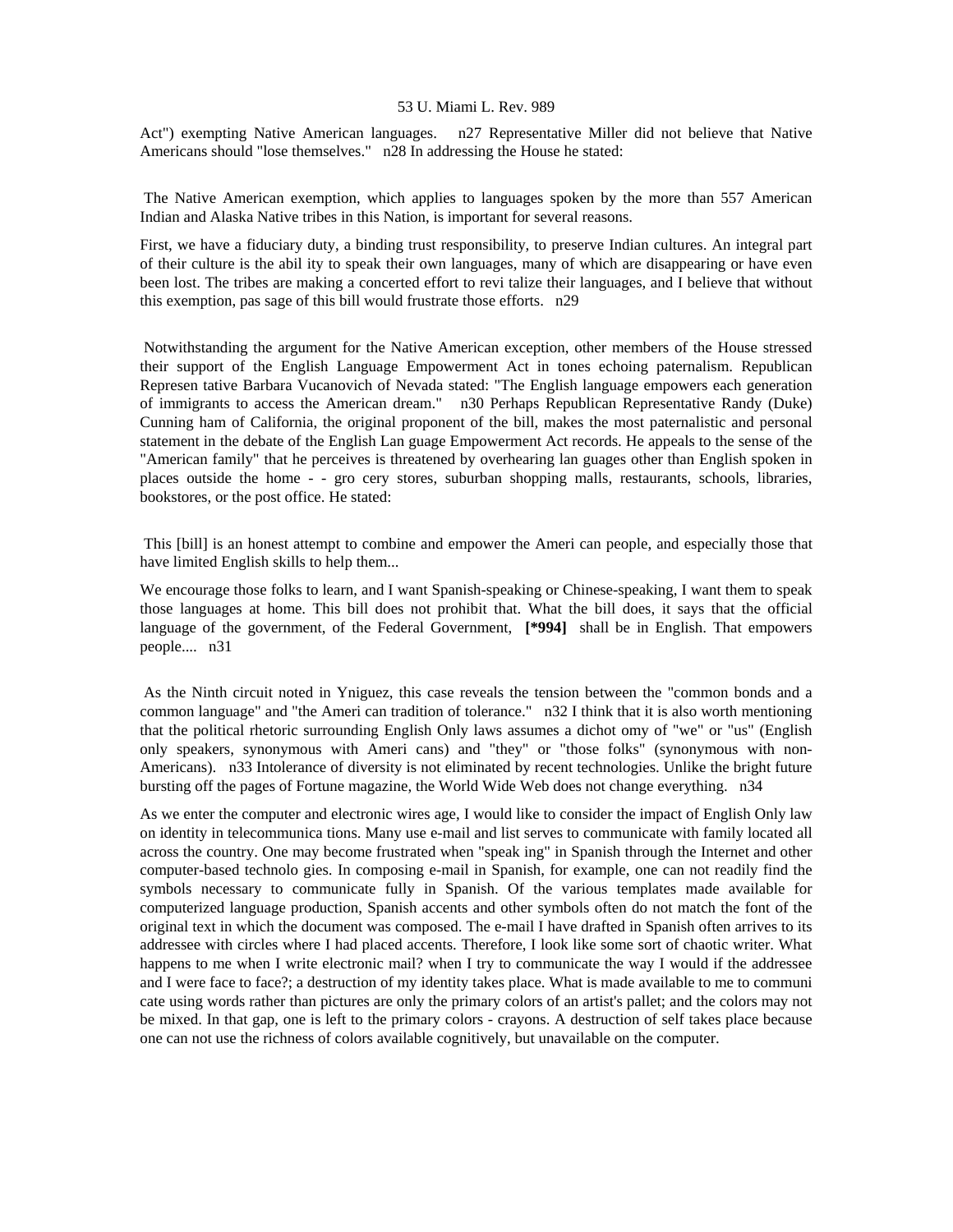Act") exempting Native American languages. n27 Representative Miller did not believe that Native Americans should "lose themselves." n28 In addressing the House he stated:

 The Native American exemption, which applies to languages spoken by the more than 557 American Indian and Alaska Native tribes in this Nation, is important for several reasons.

First, we have a fiduciary duty, a binding trust responsibility, to preserve Indian cultures. An integral part of their culture is the abil ity to speak their own languages, many of which are disappearing or have even been lost. The tribes are making a concerted effort to revi talize their languages, and I believe that without this exemption, pas sage of this bill would frustrate those efforts. n29

 Notwithstanding the argument for the Native American exception, other members of the House stressed their support of the English Language Empowerment Act in tones echoing paternalism. Republican Represen tative Barbara Vucanovich of Nevada stated: "The English language empowers each generation of immigrants to access the American dream." n30 Perhaps Republican Representative Randy (Duke) Cunning ham of California, the original proponent of the bill, makes the most paternalistic and personal statement in the debate of the English Lan guage Empowerment Act records. He appeals to the sense of the "American family" that he perceives is threatened by overhearing lan guages other than English spoken in places outside the home - - gro cery stores, suburban shopping malls, restaurants, schools, libraries, bookstores, or the post office. He stated:

 This [bill] is an honest attempt to combine and empower the Ameri can people, and especially those that have limited English skills to help them...

We encourage those folks to learn, and I want Spanish-speaking or Chinese-speaking, I want them to speak those languages at home. This bill does not prohibit that. What the bill does, it says that the official language of the government, of the Federal Government, **[\*994]** shall be in English. That empowers people.... n31

 As the Ninth circuit noted in Yniguez, this case reveals the tension between the "common bonds and a common language" and "the Ameri can tradition of tolerance." n32 I think that it is also worth mentioning that the political rhetoric surrounding English Only laws assumes a dichot omy of "we" or "us" (English only speakers, synonymous with Ameri cans) and "they" or "those folks" (synonymous with non-Americans). n33 Intolerance of diversity is not eliminated by recent technologies. Unlike the bright future bursting off the pages of Fortune magazine, the World Wide Web does not change everything. n34

As we enter the computer and electronic wires age, I would like to consider the impact of English Only law on identity in telecommunica tions. Many use e-mail and list serves to communicate with family located all across the country. One may become frustrated when "speak ing" in Spanish through the Internet and other computer-based technolo gies. In composing e-mail in Spanish, for example, one can not readily find the symbols necessary to communicate fully in Spanish. Of the various templates made available for computerized language production, Spanish accents and other symbols often do not match the font of the original text in which the document was composed. The e-mail I have drafted in Spanish often arrives to its addressee with circles where I had placed accents. Therefore, I look like some sort of chaotic writer. What happens to me when I write electronic mail? when I try to communicate the way I would if the addressee and I were face to face?; a destruction of my identity takes place. What is made available to me to communi cate using words rather than pictures are only the primary colors of an artist's pallet; and the colors may not be mixed. In that gap, one is left to the primary colors - crayons. A destruction of self takes place because one can not use the richness of colors available cognitively, but unavailable on the computer.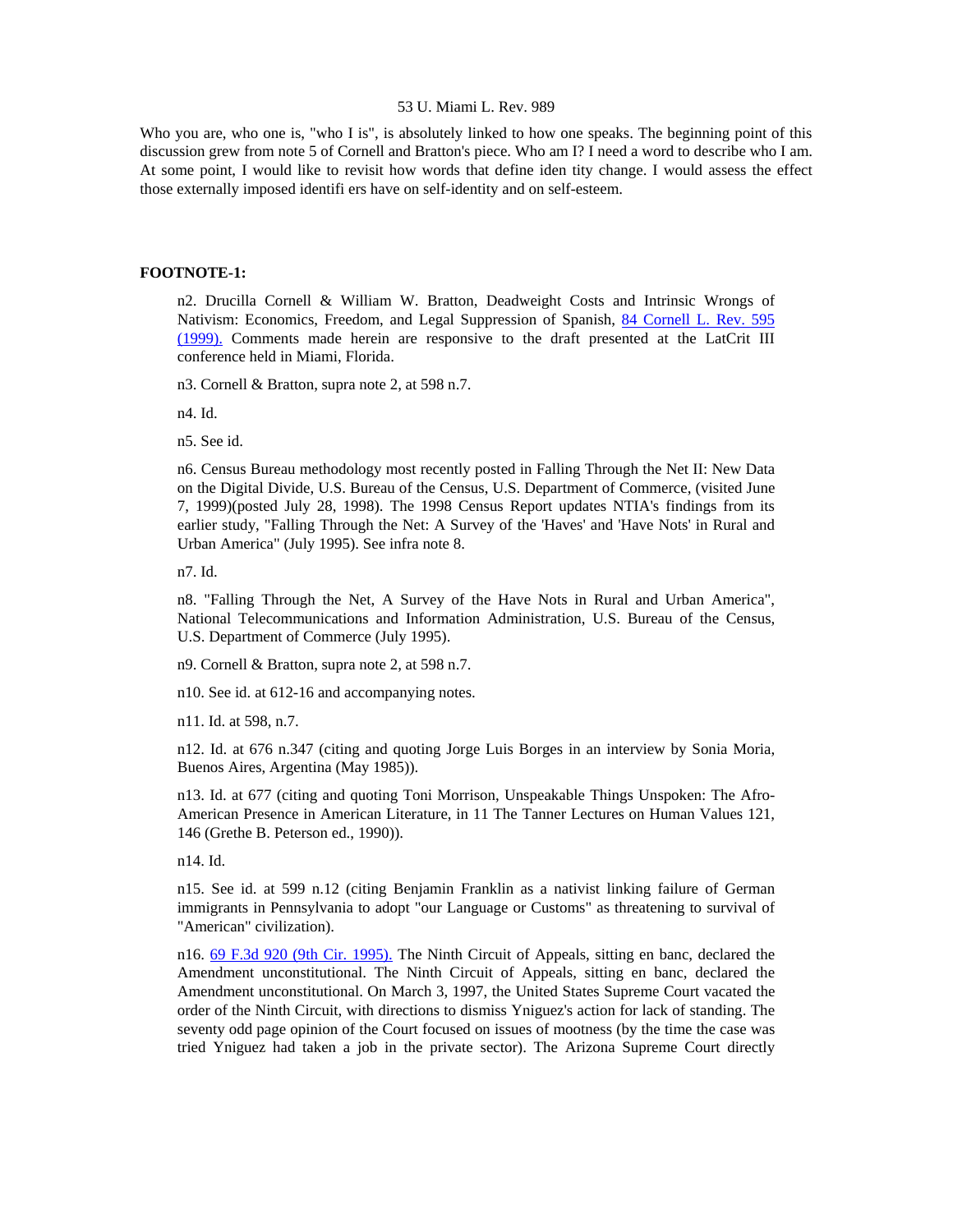Who you are, who one is, "who I is", is absolutely linked to how one speaks. The beginning point of this discussion grew from note 5 of Cornell and Bratton's piece. Who am I? I need a word to describe who I am. At some point, I would like to revisit how words that define iden tity change. I would assess the effect those externally imposed identifi ers have on self-identity and on self-esteem.

## **FOOTNOTE-1:**

n2. Drucilla Cornell & William W. Bratton, Deadweight Costs and Intrinsic Wrongs of Nativism: Economics, Freedom, and Legal Suppression of Spanish, [84 Cornell L. Rev. 595](http://www.lexis.com/research/xlink?searchtype=get&search=84%20Cornell%20L.%20Rev.%20595)  [\(1999\).](http://www.lexis.com/research/xlink?searchtype=get&search=84%20Cornell%20L.%20Rev.%20595) Comments made herein are responsive to the draft presented at the LatCrit III conference held in Miami, Florida.

n3. Cornell & Bratton, supra note 2, at 598 n.7.

n4. Id.

n5. See id.

n6. Census Bureau methodology most recently posted in Falling Through the Net II: New Data on the Digital Divide, U.S. Bureau of the Census, U.S. Department of Commerce, (visited June 7, 1999)(posted July 28, 1998). The 1998 Census Report updates NTIA's findings from its earlier study, "Falling Through the Net: A Survey of the 'Haves' and 'Have Nots' in Rural and Urban America" (July 1995). See infra note 8.

n7. Id.

n8. "Falling Through the Net, A Survey of the Have Nots in Rural and Urban America", National Telecommunications and Information Administration, U.S. Bureau of the Census, U.S. Department of Commerce (July 1995).

n9. Cornell & Bratton, supra note 2, at 598 n.7.

n10. See id. at 612-16 and accompanying notes.

n11. Id. at 598, n.7.

n12. Id. at 676 n.347 (citing and quoting Jorge Luis Borges in an interview by Sonia Moria, Buenos Aires, Argentina (May 1985)).

n13. Id. at 677 (citing and quoting Toni Morrison, Unspeakable Things Unspoken: The Afro-American Presence in American Literature, in 11 The Tanner Lectures on Human Values 121, 146 (Grethe B. Peterson ed., 1990)).

n14. Id.

n15. See id. at 599 n.12 (citing Benjamin Franklin as a nativist linking failure of German immigrants in Pennsylvania to adopt "our Language or Customs" as threatening to survival of "American" civilization).

n16. [69 F.3d 920 \(9th Cir. 1995\).](http://www.lexis.com/research/xlink?searchtype=get&search=69%20F.3d%20920) The Ninth Circuit of Appeals, sitting en banc, declared the Amendment unconstitutional. The Ninth Circuit of Appeals, sitting en banc, declared the Amendment unconstitutional. On March 3, 1997, the United States Supreme Court vacated the order of the Ninth Circuit, with directions to dismiss Yniguez's action for lack of standing. The seventy odd page opinion of the Court focused on issues of mootness (by the time the case was tried Yniguez had taken a job in the private sector). The Arizona Supreme Court directly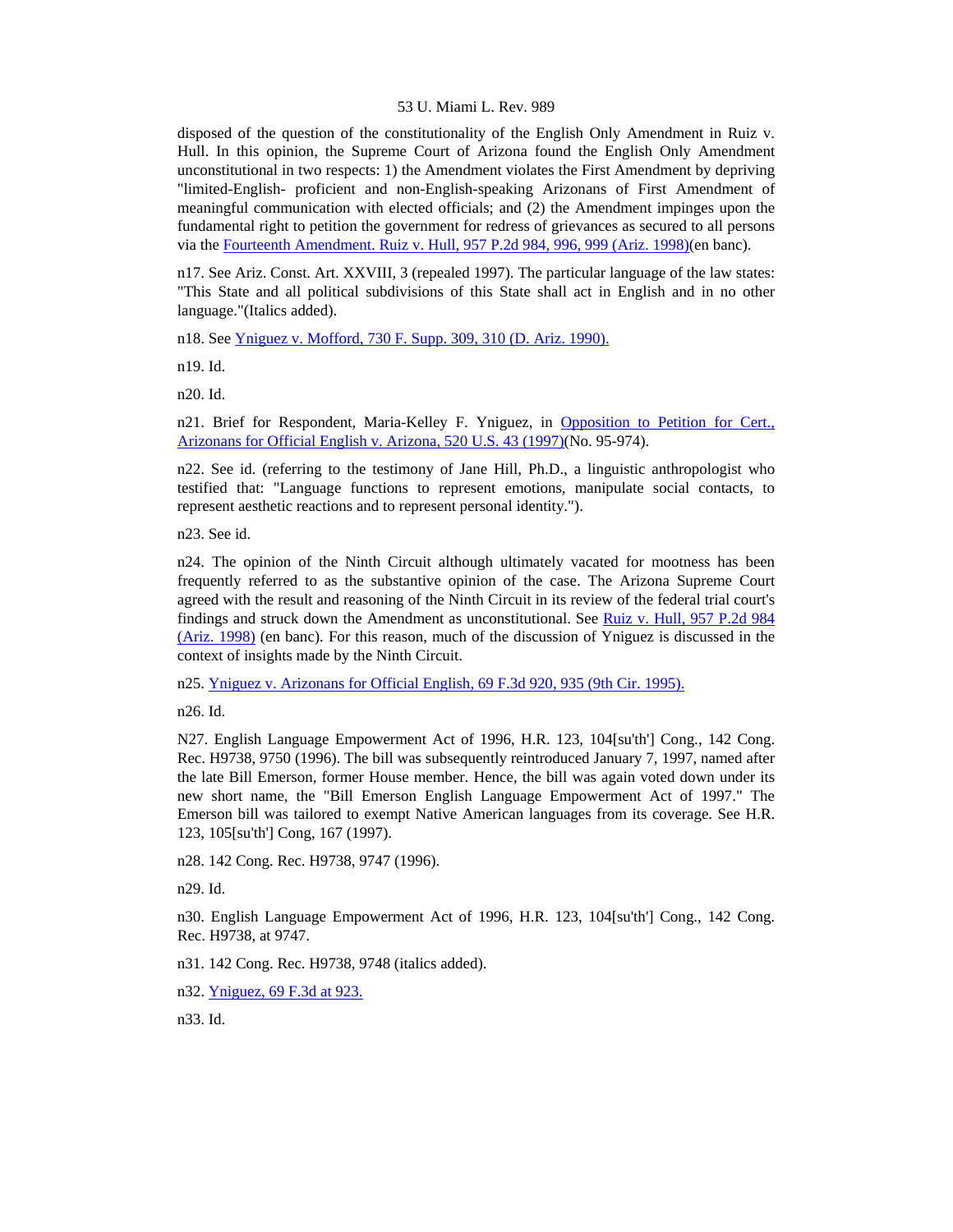disposed of the question of the constitutionality of the English Only Amendment in Ruiz v. Hull. In this opinion, the Supreme Court of Arizona found the English Only Amendment unconstitutional in two respects: 1) the Amendment violates the First Amendment by depriving "limited-English- proficient and non-English-speaking Arizonans of First Amendment of meaningful communication with elected officials; and (2) the Amendment impinges upon the fundamental right to petition the government for redress of grievances as secured to all persons via the [Fourteenth Amendment. Ruiz v. Hull, 957 P.2d 984, 996, 999 \(Ariz. 1998\)\(](http://www.lexis.com/research/xlink?searchtype=get&search=957%20P.2d%20984,at%20996)en banc).

n17. See Ariz. Const. Art. XXVIII, 3 (repealed 1997). The particular language of the law states: "This State and all political subdivisions of this State shall act in English and in no other language."(Italics added).

n18. See [Yniguez v. Mofford, 730 F. Supp. 309, 310 \(D. Ariz. 1990\).](http://www.lexis.com/research/xlink?searchtype=get&search=730%20F.%20Supp.%20309,at%20310)

n19. Id.

n20. Id.

n21. Brief for Respondent, Maria-Kelley F. Yniguez, in [Opposition to Petition for Cert.,](http://www.lexis.com/research/xlink?searchtype=get&search=520%20U.S.%2043)  [Arizonans for Official English v. Arizona, 520 U.S. 43 \(1997\)\(](http://www.lexis.com/research/xlink?searchtype=get&search=520%20U.S.%2043)No. 95-974).

n22. See id. (referring to the testimony of Jane Hill, Ph.D., a linguistic anthropologist who testified that: "Language functions to represent emotions, manipulate social contacts, to represent aesthetic reactions and to represent personal identity.").

n23. See id.

n24. The opinion of the Ninth Circuit although ultimately vacated for mootness has been frequently referred to as the substantive opinion of the case. The Arizona Supreme Court agreed with the result and reasoning of the Ninth Circuit in its review of the federal trial court's findings and struck down the Amendment as unconstitutional. See [Ruiz v. Hull, 957 P.2d 984](http://www.lexis.com/research/xlink?searchtype=get&search=957%20P.2d%20984)  [\(Ariz. 1998\)](http://www.lexis.com/research/xlink?searchtype=get&search=957%20P.2d%20984) (en banc). For this reason, much of the discussion of Yniguez is discussed in the context of insights made by the Ninth Circuit.

n25. [Yniguez v. Arizonans for Official English, 69 F.3d 920, 935 \(9th Cir. 1995\).](http://www.lexis.com/research/xlink?searchtype=get&search=69%20F.3d%20920,at%20935)

n26. Id.

N27. English Language Empowerment Act of 1996, H.R. 123, 104[su'th'] Cong., 142 Cong. Rec. H9738, 9750 (1996). The bill was subsequently reintroduced January 7, 1997, named after the late Bill Emerson, former House member. Hence, the bill was again voted down under its new short name, the "Bill Emerson English Language Empowerment Act of 1997." The Emerson bill was tailored to exempt Native American languages from its coverage. See H.R. 123, 105[su'th'] Cong, 167 (1997).

n28. 142 Cong. Rec. H9738, 9747 (1996).

n29. Id.

n30. English Language Empowerment Act of 1996, H.R. 123, 104[su'th'] Cong., 142 Cong. Rec. H9738, at 9747.

n31. 142 Cong. Rec. H9738, 9748 (italics added).

n32. [Yniguez, 69 F.3d at 923.](http://www.lexis.com/research/xlink?searchtype=get&search=69%20F.3d%20920,at%20923)

n33. Id.